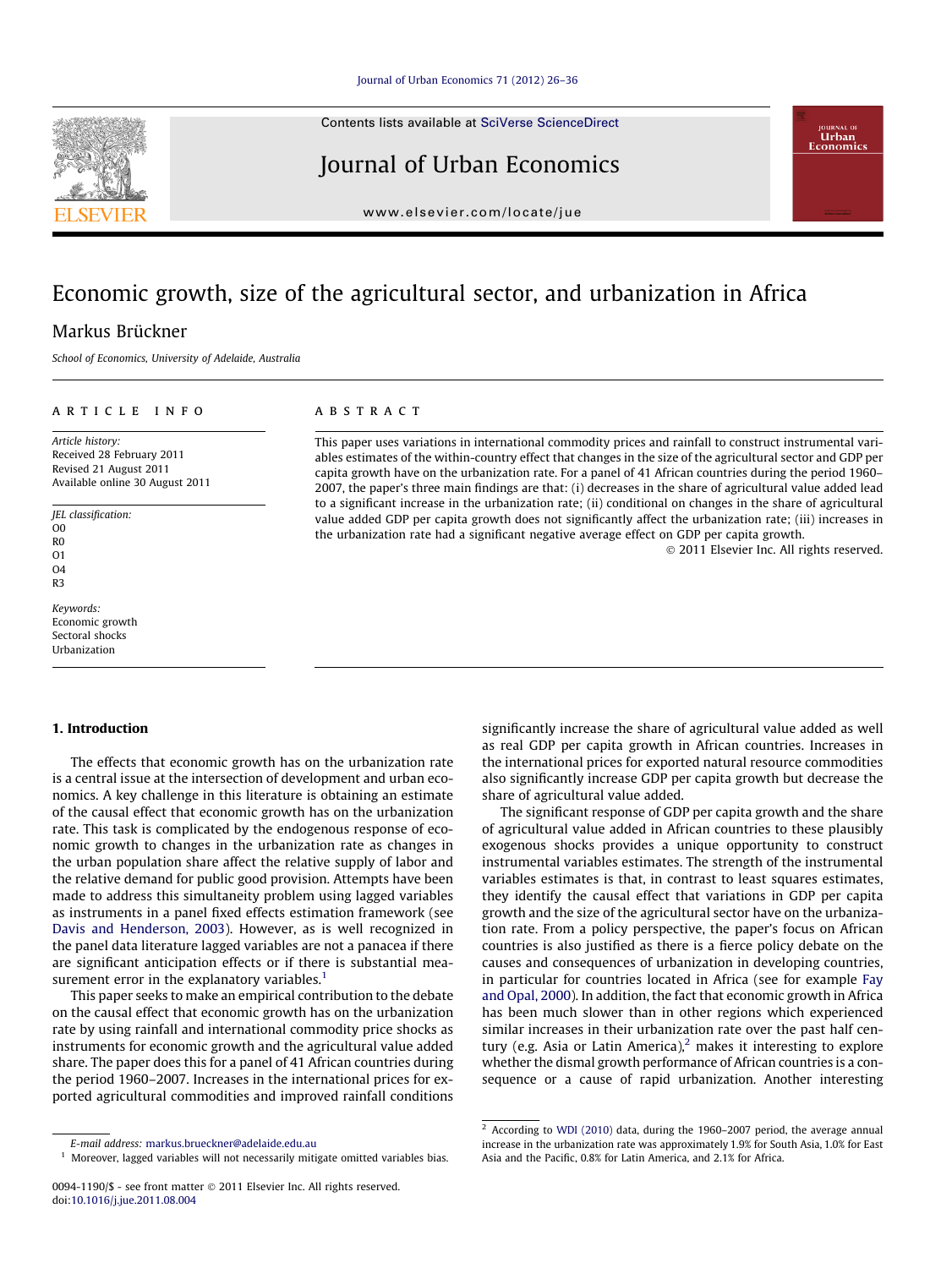### Contents lists available at [SciVerse ScienceDirect](http://www.sciencedirect.com/science/journal/00941190)

## Journal of Urban Economics

[www.elsevier.com/locate/jue](http://www.elsevier.com/locate/jue)

## Economic growth, size of the agricultural sector, and urbanization in Africa

## Markus Brückner

School of Economics, University of Adelaide, Australia

#### article info

Article history: Received 28 February 2011 Revised 21 August 2011 Available online 30 August 2011

JEL classification:  $0<sup>0</sup>$ R0  $\Omega$ 1 O4 R3

Keywords: Economic growth Sectoral shocks Urbanization

### **ABSTRACT**

This paper uses variations in international commodity prices and rainfall to construct instrumental variables estimates of the within-country effect that changes in the size of the agricultural sector and GDP per capita growth have on the urbanization rate. For a panel of 41 African countries during the period 1960– 2007, the paper's three main findings are that: (i) decreases in the share of agricultural value added lead to a significant increase in the urbanization rate; (ii) conditional on changes in the share of agricultural value added GDP per capita growth does not significantly affect the urbanization rate; (iii) increases in the urbanization rate had a significant negative average effect on GDP per capita growth. - 2011 Elsevier Inc. All rights reserved.

1. Introduction

The effects that economic growth has on the urbanization rate is a central issue at the intersection of development and urban economics. A key challenge in this literature is obtaining an estimate of the causal effect that economic growth has on the urbanization rate. This task is complicated by the endogenous response of economic growth to changes in the urbanization rate as changes in the urban population share affect the relative supply of labor and the relative demand for public good provision. Attempts have been made to address this simultaneity problem using lagged variables as instruments in a panel fixed effects estimation framework (see [Davis and Henderson, 2003\)](#page--1-0). However, as is well recognized in the panel data literature lagged variables are not a panacea if there are significant anticipation effects or if there is substantial measurement error in the explanatory variables.<sup>1</sup>

This paper seeks to make an empirical contribution to the debate on the causal effect that economic growth has on the urbanization rate by using rainfall and international commodity price shocks as instruments for economic growth and the agricultural value added share. The paper does this for a panel of 41 African countries during the period 1960–2007. Increases in the international prices for exported agricultural commodities and improved rainfall conditions significantly increase the share of agricultural value added as well as real GDP per capita growth in African countries. Increases in the international prices for exported natural resource commodities also significantly increase GDP per capita growth but decrease the share of agricultural value added.

Urban Economics

The significant response of GDP per capita growth and the share of agricultural value added in African countries to these plausibly exogenous shocks provides a unique opportunity to construct instrumental variables estimates. The strength of the instrumental variables estimates is that, in contrast to least squares estimates, they identify the causal effect that variations in GDP per capita growth and the size of the agricultural sector have on the urbanization rate. From a policy perspective, the paper's focus on African countries is also justified as there is a fierce policy debate on the causes and consequences of urbanization in developing countries, in particular for countries located in Africa (see for example [Fay](#page--1-0) [and Opal, 2000](#page--1-0)). In addition, the fact that economic growth in Africa has been much slower than in other regions which experienced similar increases in their urbanization rate over the past half century (e.g. Asia or Latin America), $^2$  makes it interesting to explore whether the dismal growth performance of African countries is a consequence or a cause of rapid urbanization. Another interesting

E-mail address: [markus.brueckner@adelaide.edu.au](mailto:markus.brueckner@adelaide.edu.au)

 $1$  Moreover, lagged variables will not necessarily mitigate omitted variables bias.

<sup>2</sup> According to [WDI \(2010\)](#page--1-0) data, during the 1960–2007 period, the average annual increase in the urbanization rate was approximately 1.9% for South Asia, 1.0% for East Asia and the Pacific, 0.8% for Latin America, and 2.1% for Africa.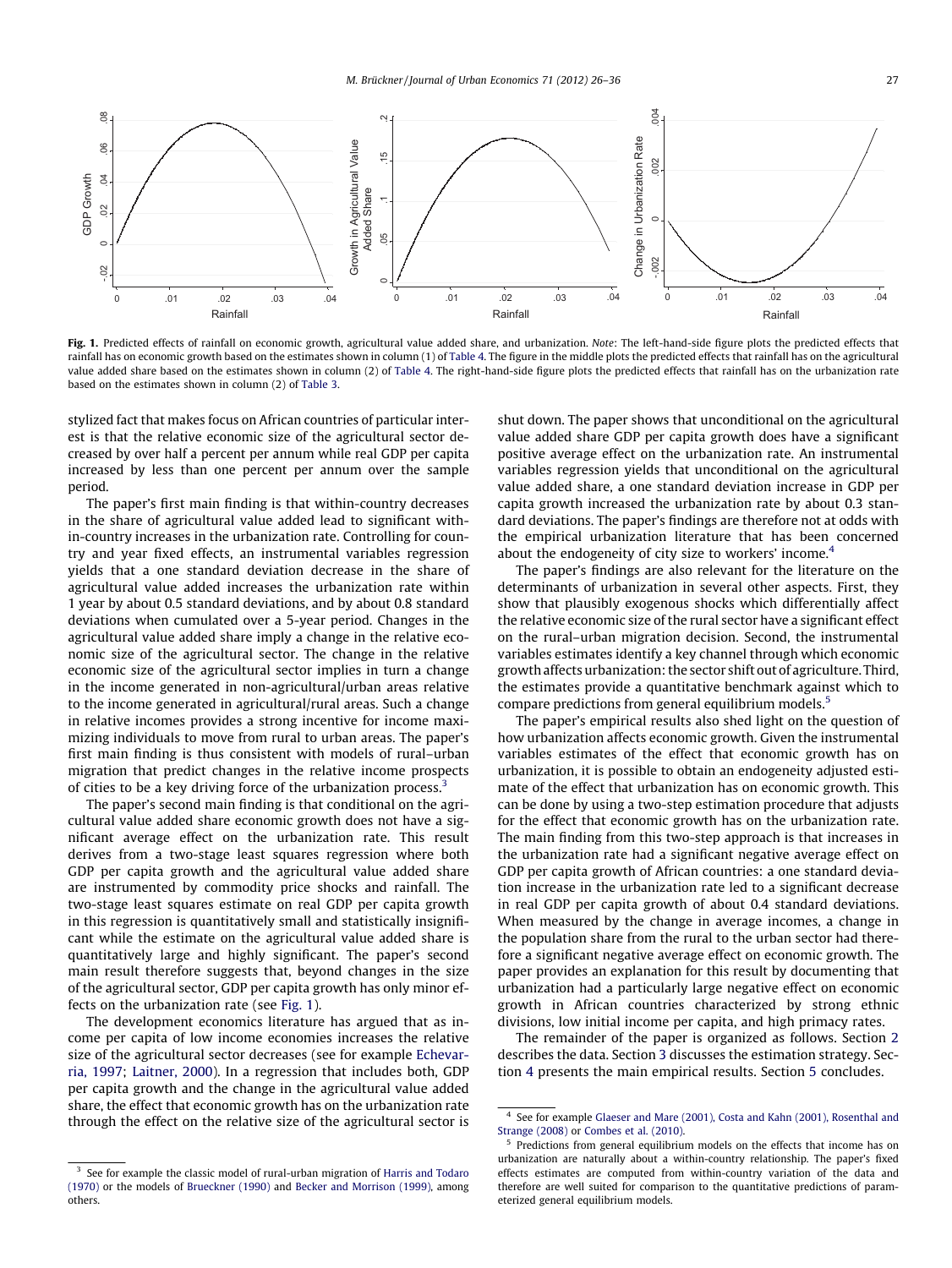

Fig. 1. Predicted effects of rainfall on economic growth, agricultural value added share, and urbanization. Note: The left-hand-side figure plots the predicted effects that rainfall has on economic growth based on the estimates shown in column (1) of [Table 4.](#page--1-0) The figure in the middle plots the predicted effects that rainfall has on the agricultural value added share based on the estimates shown in column (2) of [Table 4](#page--1-0). The right-hand-side figure plots the predicted effects that rainfall has on the urbanization rate based on the estimates shown in column (2) of [Table 3](#page--1-0).

stylized fact that makes focus on African countries of particular interest is that the relative economic size of the agricultural sector decreased by over half a percent per annum while real GDP per capita increased by less than one percent per annum over the sample period.

The paper's first main finding is that within-country decreases in the share of agricultural value added lead to significant within-country increases in the urbanization rate. Controlling for country and year fixed effects, an instrumental variables regression yields that a one standard deviation decrease in the share of agricultural value added increases the urbanization rate within 1 year by about 0.5 standard deviations, and by about 0.8 standard deviations when cumulated over a 5-year period. Changes in the agricultural value added share imply a change in the relative economic size of the agricultural sector. The change in the relative economic size of the agricultural sector implies in turn a change in the income generated in non-agricultural/urban areas relative to the income generated in agricultural/rural areas. Such a change in relative incomes provides a strong incentive for income maximizing individuals to move from rural to urban areas. The paper's first main finding is thus consistent with models of rural–urban migration that predict changes in the relative income prospects of cities to be a key driving force of the urbanization process.<sup>3</sup>

The paper's second main finding is that conditional on the agricultural value added share economic growth does not have a significant average effect on the urbanization rate. This result derives from a two-stage least squares regression where both GDP per capita growth and the agricultural value added share are instrumented by commodity price shocks and rainfall. The two-stage least squares estimate on real GDP per capita growth in this regression is quantitatively small and statistically insignificant while the estimate on the agricultural value added share is quantitatively large and highly significant. The paper's second main result therefore suggests that, beyond changes in the size of the agricultural sector, GDP per capita growth has only minor effects on the urbanization rate (see Fig. 1).

The development economics literature has argued that as income per capita of low income economies increases the relative size of the agricultural sector decreases (see for example [Echevar](#page--1-0)[ria, 1997;](#page--1-0) [Laitner, 2000](#page--1-0)). In a regression that includes both, GDP per capita growth and the change in the agricultural value added share, the effect that economic growth has on the urbanization rate through the effect on the relative size of the agricultural sector is shut down. The paper shows that unconditional on the agricultural value added share GDP per capita growth does have a significant positive average effect on the urbanization rate. An instrumental variables regression yields that unconditional on the agricultural value added share, a one standard deviation increase in GDP per capita growth increased the urbanization rate by about 0.3 standard deviations. The paper's findings are therefore not at odds with the empirical urbanization literature that has been concerned about the endogeneity of city size to workers' income.<sup>4</sup>

The paper's findings are also relevant for the literature on the determinants of urbanization in several other aspects. First, they show that plausibly exogenous shocks which differentially affect the relative economic size of the rural sector have a significant effect on the rural–urban migration decision. Second, the instrumental variables estimates identify a key channel through which economic growth affects urbanization: the sector shift out of agriculture. Third, the estimates provide a quantitative benchmark against which to compare predictions from general equilibrium models.<sup>5</sup>

The paper's empirical results also shed light on the question of how urbanization affects economic growth. Given the instrumental variables estimates of the effect that economic growth has on urbanization, it is possible to obtain an endogeneity adjusted estimate of the effect that urbanization has on economic growth. This can be done by using a two-step estimation procedure that adjusts for the effect that economic growth has on the urbanization rate. The main finding from this two-step approach is that increases in the urbanization rate had a significant negative average effect on GDP per capita growth of African countries: a one standard deviation increase in the urbanization rate led to a significant decrease in real GDP per capita growth of about 0.4 standard deviations. When measured by the change in average incomes, a change in the population share from the rural to the urban sector had therefore a significant negative average effect on economic growth. The paper provides an explanation for this result by documenting that urbanization had a particularly large negative effect on economic growth in African countries characterized by strong ethnic divisions, low initial income per capita, and high primacy rates.

The remainder of the paper is organized as follows. Section [2](#page--1-0) describes the data. Section [3](#page--1-0) discusses the estimation strategy. Section [4](#page--1-0) presents the main empirical results. Section [5](#page--1-0) concludes.

 $3$  See for example the classic model of rural-urban migration of [Harris and Todaro](#page--1-0) [\(1970\)](#page--1-0) or the models of [Brueckner \(1990\)](#page--1-0) and [Becker and Morrison \(1999\),](#page--1-0) among others.

<sup>4</sup> See for example [Glaeser and Mare \(2001\), Costa and Kahn \(2001\), Rosenthal and](#page--1-0) [Strange \(2008\)](#page--1-0) or [Combes et al. \(2010\)](#page--1-0).

Predictions from general equilibrium models on the effects that income has on urbanization are naturally about a within-country relationship. The paper's fixed effects estimates are computed from within-country variation of the data and therefore are well suited for comparison to the quantitative predictions of parameterized general equilibrium models.